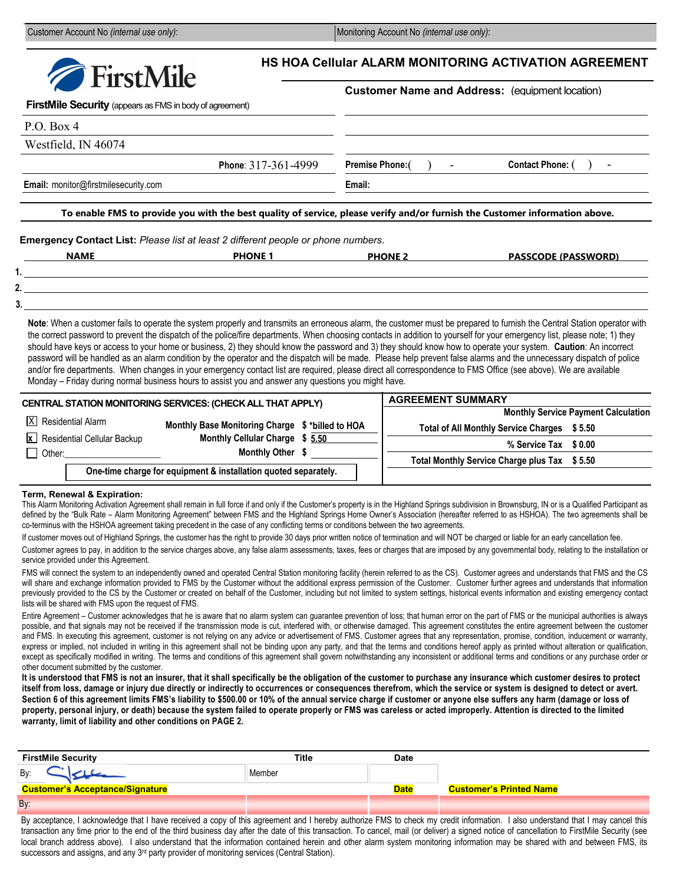Customer Account No *(internal use only)*: Monitoring Account No *(internal use only)*: Monitoring Account No *(internal use only)*:

| FirstMile Security (appears as FMS in body of agreement)<br>P.O. Box 4<br>Westfield, IN 46074<br>Phone: 317-361-4999<br>Contact Phone: ()<br>Premise Phone: ()<br>$\blacksquare$<br>Email: monitor@firstmilesecurity.com<br>Email:<br>To enable FMS to provide you with the best quality of service, please verify and/or furnish the Customer information above.<br><b>PHONE 1 PHONE 1</b><br><b>NAME</b><br><b>PHONE 2</b><br><b>PASSCODE (PASSWORD)</b><br>Note: When a customer fails to operate the system properly and transmits an erroneous alarm, the customer must be prepared to furnish the Central Station operator with<br>the correct password to prevent the dispatch of the police/fire departments. When choosing contacts in addition to yourself for your emergency list, please note; 1) they<br>should have keys or access to your home or business, 2) they should know the password and 3) they should know how to operate your system. Caution: An incorrect<br>password will be handled as an alarm condition by the operator and the dispatch will be made. Please help prevent false alarms and the unnecessary dispatch of police<br>and/or fire departments. When changes in your emergency contact list are required, please direct all correspondence to FMS Office (see above). We are available<br>Monday – Friday during normal business hours to assist you and answer any questions you might have.<br><b>AGREEMENT SUMMARY</b><br><b>Monthly Service Payment Calculation</b><br>IХI<br><b>Residential Alarm</b><br>Monthly Base Monitoring Charge \$*billed to HOA<br>Total of All Monthly Service Charges \$5.50<br>Monthly Cellular Charge \$ 5.50<br><b>x</b> Residential Cellular Backup<br>% Service Tax \$0.00<br>Monthly Other \$<br>Other: will be a state of the state of the state of the state of the state of the state of the state of the state of the state of the state of the state of the state of the state of the state of the state of the state of t<br>$\mathsf{L}$<br>Total Monthly Service Charge plus Tax \$5.50<br>One-time charge for equipment & installation quoted separately. |  | <b>FirstMile</b> |  | <b>Customer Name and Address: (equipment location)</b> |  |
|-----------------------------------------------------------------------------------------------------------------------------------------------------------------------------------------------------------------------------------------------------------------------------------------------------------------------------------------------------------------------------------------------------------------------------------------------------------------------------------------------------------------------------------------------------------------------------------------------------------------------------------------------------------------------------------------------------------------------------------------------------------------------------------------------------------------------------------------------------------------------------------------------------------------------------------------------------------------------------------------------------------------------------------------------------------------------------------------------------------------------------------------------------------------------------------------------------------------------------------------------------------------------------------------------------------------------------------------------------------------------------------------------------------------------------------------------------------------------------------------------------------------------------------------------------------------------------------------------------------------------------------------------------------------------------------------------------------------------------------------------------------------------------------------------------------------------------------------------------------------------------------------------------------------------------------------------------------------------------------------------------------------------------------------------------------------------------------------------------------------------------------------------------|--|------------------|--|--------------------------------------------------------|--|
|                                                                                                                                                                                                                                                                                                                                                                                                                                                                                                                                                                                                                                                                                                                                                                                                                                                                                                                                                                                                                                                                                                                                                                                                                                                                                                                                                                                                                                                                                                                                                                                                                                                                                                                                                                                                                                                                                                                                                                                                                                                                                                                                                     |  |                  |  |                                                        |  |
|                                                                                                                                                                                                                                                                                                                                                                                                                                                                                                                                                                                                                                                                                                                                                                                                                                                                                                                                                                                                                                                                                                                                                                                                                                                                                                                                                                                                                                                                                                                                                                                                                                                                                                                                                                                                                                                                                                                                                                                                                                                                                                                                                     |  |                  |  |                                                        |  |
|                                                                                                                                                                                                                                                                                                                                                                                                                                                                                                                                                                                                                                                                                                                                                                                                                                                                                                                                                                                                                                                                                                                                                                                                                                                                                                                                                                                                                                                                                                                                                                                                                                                                                                                                                                                                                                                                                                                                                                                                                                                                                                                                                     |  |                  |  |                                                        |  |
|                                                                                                                                                                                                                                                                                                                                                                                                                                                                                                                                                                                                                                                                                                                                                                                                                                                                                                                                                                                                                                                                                                                                                                                                                                                                                                                                                                                                                                                                                                                                                                                                                                                                                                                                                                                                                                                                                                                                                                                                                                                                                                                                                     |  |                  |  |                                                        |  |
|                                                                                                                                                                                                                                                                                                                                                                                                                                                                                                                                                                                                                                                                                                                                                                                                                                                                                                                                                                                                                                                                                                                                                                                                                                                                                                                                                                                                                                                                                                                                                                                                                                                                                                                                                                                                                                                                                                                                                                                                                                                                                                                                                     |  |                  |  |                                                        |  |
| Emergency Contact List: Please list at least 2 different people or phone numbers.                                                                                                                                                                                                                                                                                                                                                                                                                                                                                                                                                                                                                                                                                                                                                                                                                                                                                                                                                                                                                                                                                                                                                                                                                                                                                                                                                                                                                                                                                                                                                                                                                                                                                                                                                                                                                                                                                                                                                                                                                                                                   |  |                  |  |                                                        |  |
|                                                                                                                                                                                                                                                                                                                                                                                                                                                                                                                                                                                                                                                                                                                                                                                                                                                                                                                                                                                                                                                                                                                                                                                                                                                                                                                                                                                                                                                                                                                                                                                                                                                                                                                                                                                                                                                                                                                                                                                                                                                                                                                                                     |  |                  |  |                                                        |  |
|                                                                                                                                                                                                                                                                                                                                                                                                                                                                                                                                                                                                                                                                                                                                                                                                                                                                                                                                                                                                                                                                                                                                                                                                                                                                                                                                                                                                                                                                                                                                                                                                                                                                                                                                                                                                                                                                                                                                                                                                                                                                                                                                                     |  |                  |  |                                                        |  |
|                                                                                                                                                                                                                                                                                                                                                                                                                                                                                                                                                                                                                                                                                                                                                                                                                                                                                                                                                                                                                                                                                                                                                                                                                                                                                                                                                                                                                                                                                                                                                                                                                                                                                                                                                                                                                                                                                                                                                                                                                                                                                                                                                     |  |                  |  |                                                        |  |
| CENTRAL STATION MONITORING SERVICES: (CHECK ALL THAT APPLY)                                                                                                                                                                                                                                                                                                                                                                                                                                                                                                                                                                                                                                                                                                                                                                                                                                                                                                                                                                                                                                                                                                                                                                                                                                                                                                                                                                                                                                                                                                                                                                                                                                                                                                                                                                                                                                                                                                                                                                                                                                                                                         |  |                  |  |                                                        |  |
|                                                                                                                                                                                                                                                                                                                                                                                                                                                                                                                                                                                                                                                                                                                                                                                                                                                                                                                                                                                                                                                                                                                                                                                                                                                                                                                                                                                                                                                                                                                                                                                                                                                                                                                                                                                                                                                                                                                                                                                                                                                                                                                                                     |  |                  |  |                                                        |  |
|                                                                                                                                                                                                                                                                                                                                                                                                                                                                                                                                                                                                                                                                                                                                                                                                                                                                                                                                                                                                                                                                                                                                                                                                                                                                                                                                                                                                                                                                                                                                                                                                                                                                                                                                                                                                                                                                                                                                                                                                                                                                                                                                                     |  |                  |  |                                                        |  |
|                                                                                                                                                                                                                                                                                                                                                                                                                                                                                                                                                                                                                                                                                                                                                                                                                                                                                                                                                                                                                                                                                                                                                                                                                                                                                                                                                                                                                                                                                                                                                                                                                                                                                                                                                                                                                                                                                                                                                                                                                                                                                                                                                     |  |                  |  |                                                        |  |
|                                                                                                                                                                                                                                                                                                                                                                                                                                                                                                                                                                                                                                                                                                                                                                                                                                                                                                                                                                                                                                                                                                                                                                                                                                                                                                                                                                                                                                                                                                                                                                                                                                                                                                                                                                                                                                                                                                                                                                                                                                                                                                                                                     |  |                  |  |                                                        |  |
|                                                                                                                                                                                                                                                                                                                                                                                                                                                                                                                                                                                                                                                                                                                                                                                                                                                                                                                                                                                                                                                                                                                                                                                                                                                                                                                                                                                                                                                                                                                                                                                                                                                                                                                                                                                                                                                                                                                                                                                                                                                                                                                                                     |  |                  |  |                                                        |  |
|                                                                                                                                                                                                                                                                                                                                                                                                                                                                                                                                                                                                                                                                                                                                                                                                                                                                                                                                                                                                                                                                                                                                                                                                                                                                                                                                                                                                                                                                                                                                                                                                                                                                                                                                                                                                                                                                                                                                                                                                                                                                                                                                                     |  |                  |  |                                                        |  |
|                                                                                                                                                                                                                                                                                                                                                                                                                                                                                                                                                                                                                                                                                                                                                                                                                                                                                                                                                                                                                                                                                                                                                                                                                                                                                                                                                                                                                                                                                                                                                                                                                                                                                                                                                                                                                                                                                                                                                                                                                                                                                                                                                     |  |                  |  |                                                        |  |
|                                                                                                                                                                                                                                                                                                                                                                                                                                                                                                                                                                                                                                                                                                                                                                                                                                                                                                                                                                                                                                                                                                                                                                                                                                                                                                                                                                                                                                                                                                                                                                                                                                                                                                                                                                                                                                                                                                                                                                                                                                                                                                                                                     |  |                  |  |                                                        |  |
|                                                                                                                                                                                                                                                                                                                                                                                                                                                                                                                                                                                                                                                                                                                                                                                                                                                                                                                                                                                                                                                                                                                                                                                                                                                                                                                                                                                                                                                                                                                                                                                                                                                                                                                                                                                                                                                                                                                                                                                                                                                                                                                                                     |  |                  |  |                                                        |  |
|                                                                                                                                                                                                                                                                                                                                                                                                                                                                                                                                                                                                                                                                                                                                                                                                                                                                                                                                                                                                                                                                                                                                                                                                                                                                                                                                                                                                                                                                                                                                                                                                                                                                                                                                                                                                                                                                                                                                                                                                                                                                                                                                                     |  |                  |  |                                                        |  |

defined by the "Bulk Rate – Alarm Monitoring Agreement" between FMS and the Highland Springs Home Owner's Association (hereafter referred to as HSHOA). The two agreements shall be co-terminus with the HSHOA agreement taking precedent in the case of any conflicting terms or conditions between the two agreements.

If customer moves out of Highland Springs, the customer has the right to provide 30 days prior written notice of termination and will NOT be charged or liable for an early cancellation fee.

Customer agrees to pay, in addition to the service charges above, any false alarm assessments, taxes, fees or charges that are imposed by any governmental body, relating to the installation or service provided under this Agreement.

FMS will connect the system to an independently owned and operated Central Station monitoring facility (herein referred to as the CS). Customer agrees and understands that FMS and the CS will share and exchange information provided to FMS by the Customer without the additional express permission of the Customer. Customer further agrees and understands that information previously provided to the CS by the Customer or created on behalf of the Customer, including but not limited to system settings, historical events information and existing emergency contact lists will be shared with FMS upon the request of FMS.

Entire Agreement – Customer acknowledges that he is aware that no alarm system can guarantee prevention of loss; that human error on the part of FMS or the municipal authorities is always possible, and that signals may not be received if the transmission mode is cut, interfered with, or otherwise damaged. This agreement constitutes the entire agreement between the customer and FMS. In executing this agreement, customer is not relying on any advice or advertisement of FMS. Customer agrees that any representation, promise, condition, inducement or warranty, express or implied, not included in writing in this agreement shall not be binding upon any party, and that the terms and conditions hereof apply as printed without alteration or qualification, except as specifically modified in writing. The terms and conditions of this agreement shall govern notwithstanding any inconsistent or additional terms and conditions or any purchase order or other document submitted by the customer.

**It is understood that FMS is not an insurer, that it shall specifically be the obligation of the customer to purchase any insurance which customer desires to protect itself from loss, damage or injury due directly or indirectly to occurrences or consequences therefrom, which the service or system is designed to detect or avert. Section 6 of this agreement limits FMS's liability to \$500.00 or 10% of the annual service charge if customer or anyone else suffers any harm (damage or loss of property, personal injury, or death) because the system failed to operate properly or FMS was careless or acted improperly. Attention is directed to the limited warranty, limit of liability and other conditions on PAGE 2.**

| <b>FirstMile Security</b>              | Title  | <b>Date</b> |                                |
|----------------------------------------|--------|-------------|--------------------------------|
| By:                                    | Member |             |                                |
| <b>Customer's Acceptance/Signature</b> |        | <b>Date</b> | <b>Customer's Printed Name</b> |
| By:                                    |        |             |                                |

By acceptance, I acknowledge that I have received a copy of this agreement and I hereby authorize FMS to check my credit information. I also understand that I may cancel this transaction any time prior to the end of the third business day after the date of this transaction. To cancel, mail (or deliver) a signed notice of cancellation to FirstMile Security (see local branch address above). I also understand that the information contained herein and other alarm system monitoring information may be shared with and between FMS, its successors and assigns, and any 3<sup>rd</sup> party provider of monitoring services (Central Station).